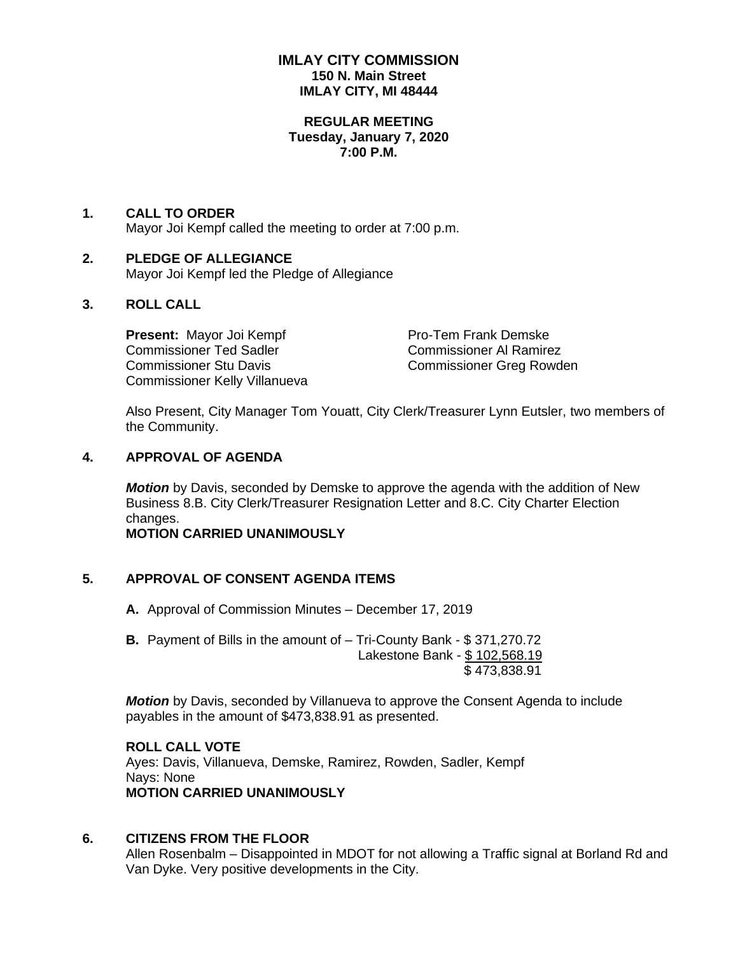## **IMLAY CITY COMMISSION 150 N. Main Street IMLAY CITY, MI 48444**

#### **REGULAR MEETING Tuesday, January 7, 2020 7:00 P.M.**

#### **1. CALL TO ORDER** Mayor Joi Kempf called the meeting to order at 7:00 p.m.

#### **2. PLEDGE OF ALLEGIANCE** Mayor Joi Kempf led the Pledge of Allegiance

## **3. ROLL CALL**

**Present:** Mayor Joi Kempf Pro-Tem Frank Demske Commissioner Ted Sadler Commissioner Al Ramirez Commissioner Stu Davis Commissioner Greg Rowden Commissioner Kelly Villanueva

Also Present, City Manager Tom Youatt, City Clerk/Treasurer Lynn Eutsler, two members of the Community.

## **4. APPROVAL OF AGENDA**

*Motion* by Davis, seconded by Demske to approve the agenda with the addition of New Business 8.B. City Clerk/Treasurer Resignation Letter and 8.C. City Charter Election changes.

## **MOTION CARRIED UNANIMOUSLY**

## **5. APPROVAL OF CONSENT AGENDA ITEMS**

**A.** Approval of Commission Minutes – December 17, 2019

**B.** Payment of Bills in the amount of – Tri-County Bank - \$ 371,270.72 Lakestone Bank - \$ 102,568.19 \$ 473,838.91

*Motion* by Davis, seconded by Villanueva to approve the Consent Agenda to include payables in the amount of \$473,838.91 as presented.

# **ROLL CALL VOTE**

Ayes: Davis, Villanueva, Demske, Ramirez, Rowden, Sadler, Kempf Nays: None **MOTION CARRIED UNANIMOUSLY**

## **6. CITIZENS FROM THE FLOOR**

Allen Rosenbalm – Disappointed in MDOT for not allowing a Traffic signal at Borland Rd and Van Dyke. Very positive developments in the City.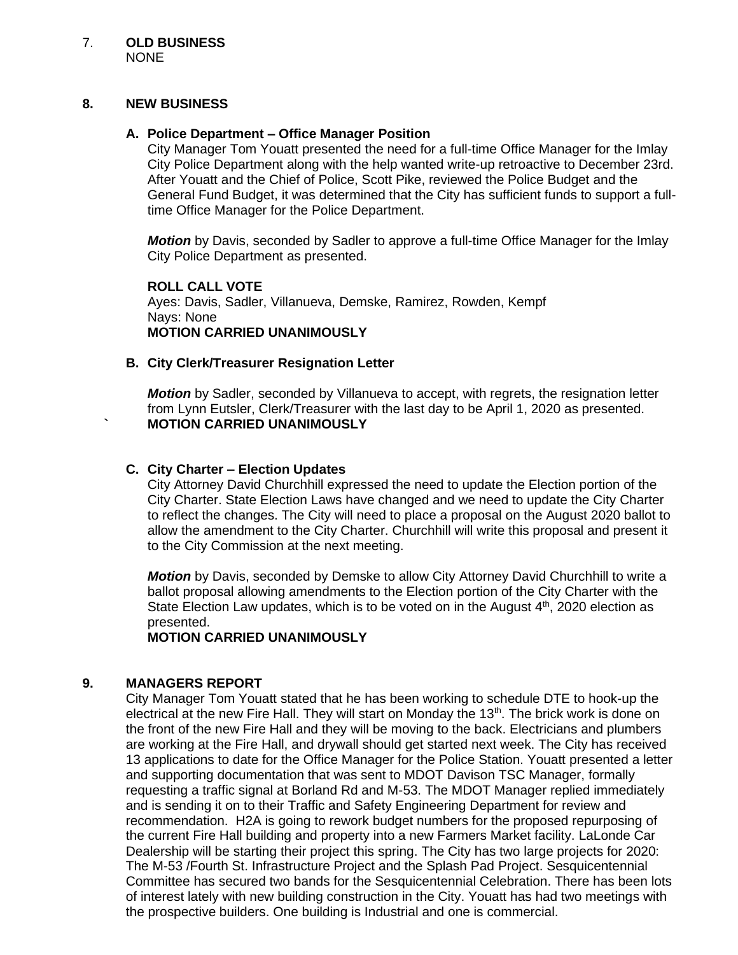#### **8. NEW BUSINESS**

## **A. Police Department – Office Manager Position**

City Manager Tom Youatt presented the need for a full-time Office Manager for the Imlay City Police Department along with the help wanted write-up retroactive to December 23rd. After Youatt and the Chief of Police, Scott Pike, reviewed the Police Budget and the General Fund Budget, it was determined that the City has sufficient funds to support a fulltime Office Manager for the Police Department.

*Motion* by Davis, seconded by Sadler to approve a full-time Office Manager for the Imlay City Police Department as presented.

**ROLL CALL VOTE** Ayes: Davis, Sadler, Villanueva, Demske, Ramirez, Rowden, Kempf Nays: None **MOTION CARRIED UNANIMOUSLY**

#### **B. City Clerk/Treasurer Resignation Letter**

*Motion* by Sadler, seconded by Villanueva to accept, with regrets, the resignation letter from Lynn Eutsler, Clerk/Treasurer with the last day to be April 1, 2020 as presented. **` MOTION CARRIED UNANIMOUSLY**

#### **C. City Charter – Election Updates**

City Attorney David Churchhill expressed the need to update the Election portion of the City Charter. State Election Laws have changed and we need to update the City Charter to reflect the changes. The City will need to place a proposal on the August 2020 ballot to allow the amendment to the City Charter. Churchhill will write this proposal and present it to the City Commission at the next meeting.

*Motion* by Davis, seconded by Demske to allow City Attorney David Churchhill to write a ballot proposal allowing amendments to the Election portion of the City Charter with the State Election Law updates, which is to be voted on in the August  $4<sup>th</sup>$ , 2020 election as presented.

**MOTION CARRIED UNANIMOUSLY**

## **9. MANAGERS REPORT**

City Manager Tom Youatt stated that he has been working to schedule DTE to hook-up the electrical at the new Fire Hall. They will start on Monday the 13<sup>th</sup>. The brick work is done on the front of the new Fire Hall and they will be moving to the back. Electricians and plumbers are working at the Fire Hall, and drywall should get started next week. The City has received 13 applications to date for the Office Manager for the Police Station. Youatt presented a letter and supporting documentation that was sent to MDOT Davison TSC Manager, formally requesting a traffic signal at Borland Rd and M-53. The MDOT Manager replied immediately and is sending it on to their Traffic and Safety Engineering Department for review and recommendation. H2A is going to rework budget numbers for the proposed repurposing of the current Fire Hall building and property into a new Farmers Market facility. LaLonde Car Dealership will be starting their project this spring. The City has two large projects for 2020: The M-53 /Fourth St. Infrastructure Project and the Splash Pad Project. Sesquicentennial Committee has secured two bands for the Sesquicentennial Celebration. There has been lots of interest lately with new building construction in the City. Youatt has had two meetings with the prospective builders. One building is Industrial and one is commercial.